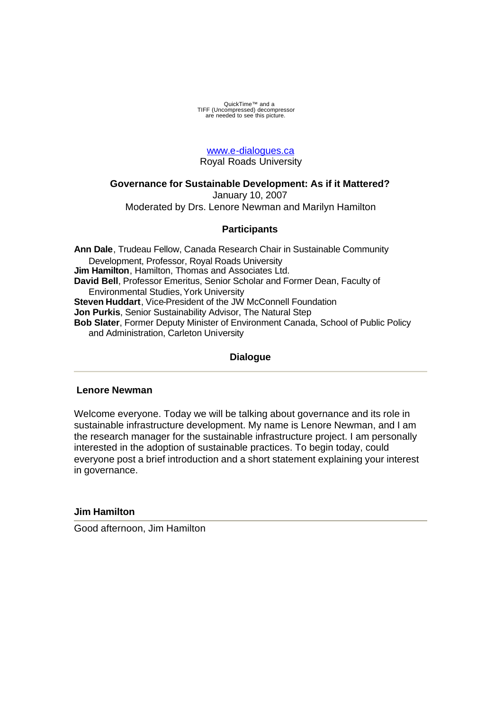QuickTime™ and a<br>TIFF (Uncompressed) decompressor<br>are needed to see this picture.

# www.e-dialogues.ca Royal Roads University

# **Governance for Sustainable Development: As if it Mattered?**

January 10, 2007 Moderated by Drs. Lenore Newman and Marilyn Hamilton

# **Participants**

**Ann Dale**, Trudeau Fellow, Canada Research Chair in Sustainable Community Development, Professor, Royal Roads University **Jim Hamilton**, Hamilton, Thomas and Associates Ltd. **David Bell**, Professor Emeritus, Senior Scholar and Former Dean, Faculty of Environmental Studies, York University **Steven Huddart**, Vice-President of the JW McConnell Foundation **Jon Purkis**, Senior Sustainability Advisor, The Natural Step **Bob Slater**, Former Deputy Minister of Environment Canada, School of Public Policy and Administration, Carleton University

# **Dialogue**

## **Lenore Newman**

Welcome everyone. Today we will be talking about governance and its role in sustainable infrastructure development. My name is Lenore Newman, and I am the research manager for the sustainable infrastructure project. I am personally interested in the adoption of sustainable practices. To begin today, could everyone post a brief introduction and a short statement explaining your interest in governance.

## **Jim Hamilton**

Good afternoon, Jim Hamilton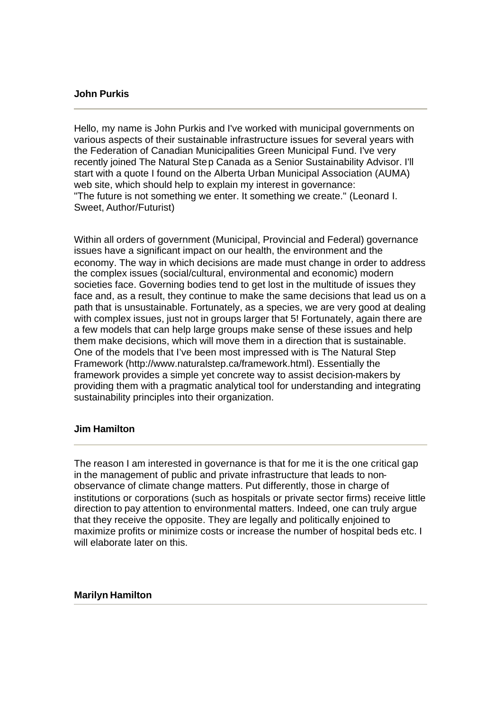### **John Purkis**

Hello, my name is John Purkis and I've worked with municipal governments on various aspects of their sustainable infrastructure issues for several years with the Federation of Canadian Municipalities Green Municipal Fund. I've very recently joined The Natural Step Canada as a Senior Sustainability Advisor. I'll start with a quote I found on the Alberta Urban Municipal Association (AUMA) web site, which should help to explain my interest in governance: "The future is not something we enter. It something we create." (Leonard I. Sweet, Author/Futurist)

Within all orders of government (Municipal, Provincial and Federal) governance issues have a significant impact on our health, the environment and the economy. The way in which decisions are made must change in order to address the complex issues (social/cultural, environmental and economic) modern societies face. Governing bodies tend to get lost in the multitude of issues they face and, as a result, they continue to make the same decisions that lead us on a path that is unsustainable. Fortunately, as a species, we are very good at dealing with complex issues, just not in groups larger that 5! Fortunately, again there are a few models that can help large groups make sense of these issues and help them make decisions, which will move them in a direction that is sustainable. One of the models that I've been most impressed with is The Natural Step Framework (http://www.naturalstep.ca/framework.html). Essentially the framework provides a simple yet concrete way to assist decision-makers by providing them with a pragmatic analytical tool for understanding and integrating sustainability principles into their organization.

# **Jim Hamilton**

The reason I am interested in governance is that for me it is the one critical gap in the management of public and private infrastructure that leads to nonobservance of climate change matters. Put differently, those in charge of institutions or corporations (such as hospitals or private sector firms) receive little direction to pay attention to environmental matters. Indeed, one can truly argue that they receive the opposite. They are legally and politically enjoined to maximize profits or minimize costs or increase the number of hospital beds etc. I will elaborate later on this.

#### **Marilyn Hamilton**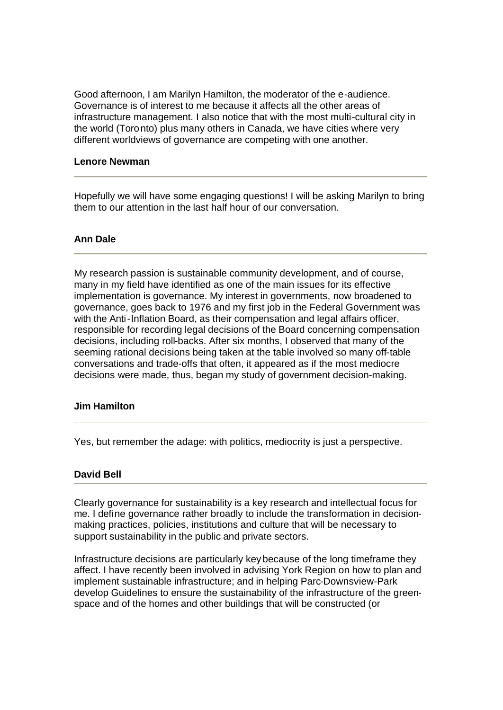Good afternoon, I am Marilyn Hamilton, the moderator of the e-audience. Governance is of interest to me because it affects all the other areas of infrastructure management. I also notice that with the most multi-cultural city in the world (Toronto) plus many others in Canada, we have cities where very different worldviews of governance are competing with one another.

## **Lenore Newman**

Hopefully we will have some engaging questions! I will be asking Marilyn to bring them to our attention in the last half hour of our conversation.

### **Ann Dale**

My research passion is sustainable community development, and of course, many in my field have identified as one of the main issues for its effective implementation is governance. My interest in governments, now broadened to governance, goes back to 1976 and my first job in the Federal Government was with the Anti-Inflation Board, as their compensation and legal affairs officer, responsible for recording legal decisions of the Board concerning compensation decisions, including roll-backs. After six months, I observed that many of the seeming rational decisions being taken at the table involved so many off-table conversations and trade-offs that often, it appeared as if the most mediocre decisions were made, thus, began my study of government decision-making.

#### **Jim Hamilton**

Yes, but remember the adage: with politics, mediocrity is just a perspective.

## **David Bell**

Clearly governance for sustainability is a key research and intellectual focus for me. I define governance rather broadly to include the transformation in decisionmaking practices, policies, institutions and culture that will be necessary to support sustainability in the public and private sectors.

Infrastructure decisions are particularly key because of the long timeframe they affect. I have recently been involved in advising York Region on how to plan and implement sustainable infrastructure; and in helping Parc-Downsview-Park develop Guidelines to ensure the sustainability of the infrastructure of the greenspace and of the homes and other buildings that will be constructed (or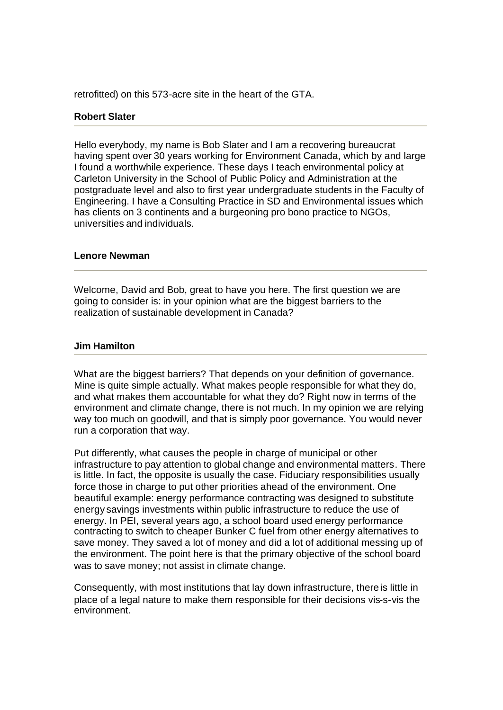retrofitted) on this 573-acre site in the heart of the GTA.

## **Robert Slater**

Hello everybody, my name is Bob Slater and I am a recovering bureaucrat having spent over 30 years working for Environment Canada, which by and large I found a worthwhile experience. These days I teach environmental policy at Carleton University in the School of Public Policy and Administration at the postgraduate level and also to first year undergraduate students in the Faculty of Engineering. I have a Consulting Practice in SD and Environmental issues which has clients on 3 continents and a burgeoning pro bono practice to NGOs, universities and individuals.

#### **Lenore Newman**

Welcome, David and Bob, great to have you here. The first question we are going to consider is: in your opinion what are the biggest barriers to the realization of sustainable development in Canada?

#### **Jim Hamilton**

What are the biggest barriers? That depends on your definition of governance. Mine is quite simple actually. What makes people responsible for what they do, and what makes them accountable for what they do? Right now in terms of the environment and climate change, there is not much. In my opinion we are relying way too much on goodwill, and that is simply poor governance. You would never run a corporation that way.

Put differently, what causes the people in charge of municipal or other infrastructure to pay attention to global change and environmental matters. There is little. In fact, the opposite is usually the case. Fiduciary responsibilities usually force those in charge to put other priorities ahead of the environment. One beautiful example: energy performance contracting was designed to substitute energy savings investments within public infrastructure to reduce the use of energy. In PEI, several years ago, a school board used energy performance contracting to switch to cheaper Bunker C fuel from other energy alternatives to save money. They saved a lot of money and did a lot of additional messing up of the environment. The point here is that the primary objective of the school board was to save money; not assist in climate change.

Consequently, with most institutions that lay down infrastructure, there is little in place of a legal nature to make them responsible for their decisions vis-s-vis the environment.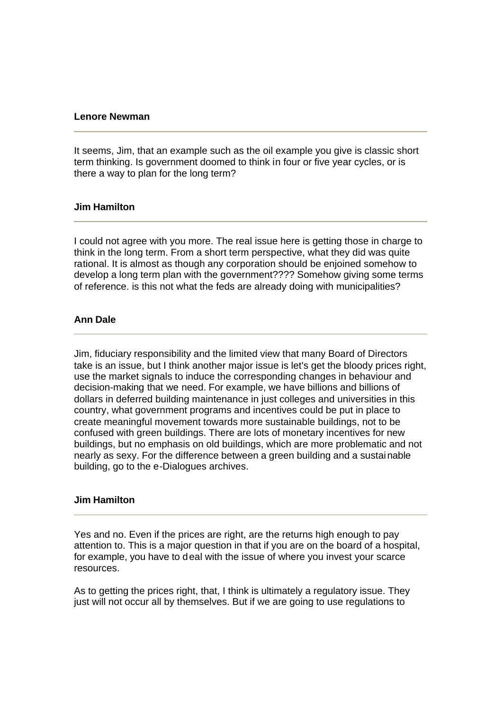### **Lenore Newman**

It seems, Jim, that an example such as the oil example you give is classic short term thinking. Is government doomed to think in four or five year cycles, or is there a way to plan for the long term?

# **Jim Hamilton**

I could not agree with you more. The real issue here is getting those in charge to think in the long term. From a short term perspective, what they did was quite rational. It is almost as though any corporation should be enjoined somehow to develop a long term plan with the government???? Somehow giving some terms of reference. is this not what the feds are already doing with municipalities?

### **Ann Dale**

Jim, fiduciary responsibility and the limited view that many Board of Directors take is an issue, but I think another major issue is let's get the bloody prices right, use the market signals to induce the corresponding changes in behaviour and decision-making that we need. For example, we have billions and billions of dollars in deferred building maintenance in just colleges and universities in this country, what government programs and incentives could be put in place to create meaningful movement towards more sustainable buildings, not to be confused with green buildings. There are lots of monetary incentives for new buildings, but no emphasis on old buildings, which are more problematic and not nearly as sexy. For the difference between a green building and a sustainable building, go to the e-Dialogues archives.

#### **Jim Hamilton**

Yes and no. Even if the prices are right, are the returns high enough to pay attention to. This is a major question in that if you are on the board of a hospital, for example, you have to deal with the issue of where you invest your scarce resources.

As to getting the prices right, that, I think is ultimately a regulatory issue. They just will not occur all by themselves. But if we are going to use regulations to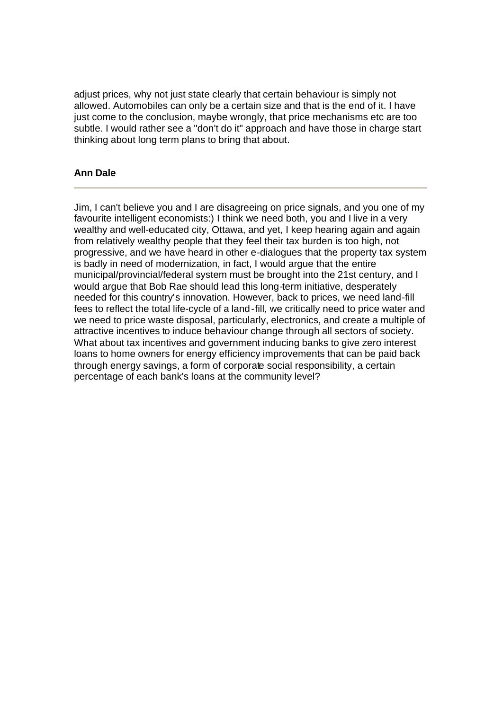adjust prices, why not just state clearly that certain behaviour is simply not allowed. Automobiles can only be a certain size and that is the end of it. I have just come to the conclusion, maybe wrongly, that price mechanisms etc are too subtle. I would rather see a "don't do it" approach and have those in charge start thinking about long term plans to bring that about.

# **Ann Dale**

Jim, I can't believe you and I are disagreeing on price signals, and you one of my favourite intelligent economists:) I think we need both, you and I live in a very wealthy and well-educated city, Ottawa, and yet, I keep hearing again and again from relatively wealthy people that they feel their tax burden is too high, not progressive, and we have heard in other e-dialogues that the property tax system is badly in need of modernization, in fact, I would argue that the entire municipal/provincial/federal system must be brought into the 21st century, and I would argue that Bob Rae should lead this long-term initiative, desperately needed for this country's innovation. However, back to prices, we need land-fill fees to reflect the total life-cycle of a land-fill, we critically need to price water and we need to price waste disposal, particularly, electronics, and create a multiple of attractive incentives to induce behaviour change through all sectors of society. What about tax incentives and government inducing banks to give zero interest loans to home owners for energy efficiency improvements that can be paid back through energy savings, a form of corporate social responsibility, a certain percentage of each bank's loans at the community level?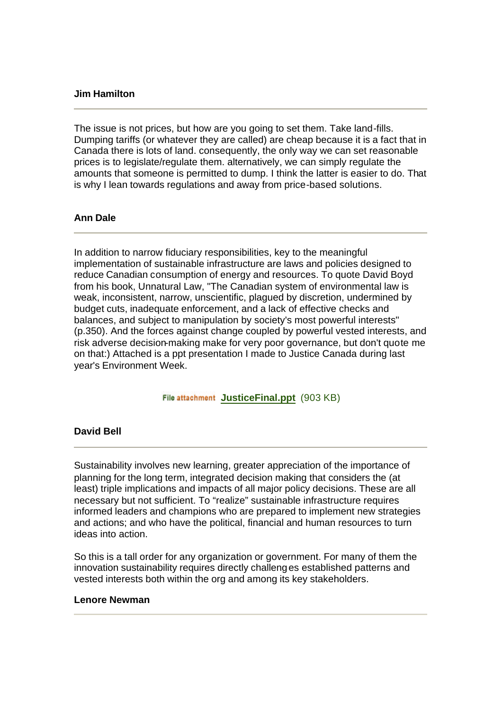### **Jim Hamilton**

The issue is not prices, but how are you going to set them. Take land-fills. Dumping tariffs (or whatever they are called) are cheap because it is a fact that in Canada there is lots of land. consequently, the only way we can set reasonable prices is to legislate/regulate them. alternatively, we can simply regulate the amounts that someone is permitted to dump. I think the latter is easier to do. That is why I lean towards regulations and away from price-based solutions.

### **Ann Dale**

In addition to narrow fiduciary responsibilities, key to the meaningful implementation of sustainable infrastructure are laws and policies designed to reduce Canadian consumption of energy and resources. To quote David Boyd from his book, Unnatural Law, "The Canadian system of environmental law is weak, inconsistent, narrow, unscientific, plagued by discretion, undermined by budget cuts, inadequate enforcement, and a lack of effective checks and balances, and subject to manipulation by society's most powerful interests" (p.350). And the forces against change coupled by powerful vested interests, and risk adverse decision-making make for very poor governance, but don't quote me on that:) Attached is a ppt presentation I made to Justice Canada during last year's Environment Week.

File attachment JusticeFinal.ppt (903 KB)

# **David Bell**

Sustainability involves new learning, greater appreciation of the importance of planning for the long term, integrated decision making that considers the (at least) triple implications and impacts of all major policy decisions. These are all necessary but not sufficient. To "realize" sustainable infrastructure requires informed leaders and champions who are prepared to implement new strategies and actions; and who have the political, financial and human resources to turn ideas into action.

So this is a tall order for any organization or government. For many of them the innovation sustainability requires directly challenges established patterns and vested interests both within the org and among its key stakeholders.

#### **Lenore Newman**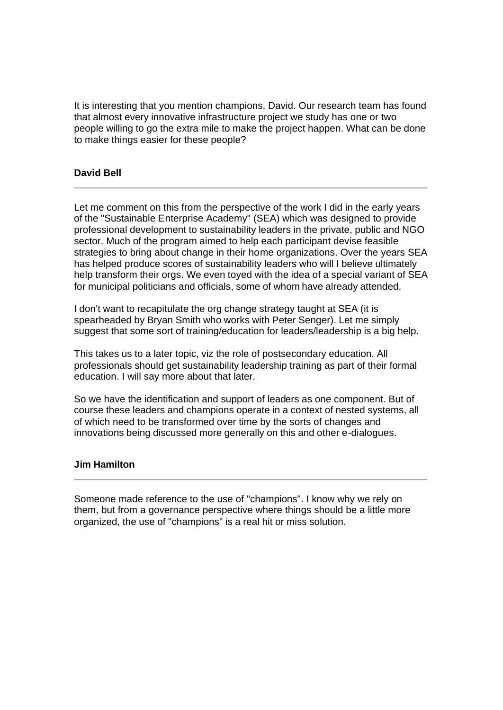It is interesting that you mention champions, David. Our research team has found that almost every innovative infrastructure project we study has one or two people willing to go the extra mile to make the project happen. What can be done to make things easier for these people?

# **David Bell**

Let me comment on this from the perspective of the work I did in the early years of the "Sustainable Enterprise Academy" (SEA) which was designed to provide professional development to sustainability leaders in the private, public and NGO sector. Much of the program aimed to help each participant devise feasible strategies to bring about change in their home organizations. Over the years SEA has helped produce scores of sustainability leaders who will I believe ultimately help transform their orgs. We even toyed with the idea of a special variant of SEA for municipal politicians and officials, some of whom have already attended.

I don't want to recapitulate the org change strategy taught at SEA (it is spearheaded by Bryan Smith who works with Peter Senger). Let me simply suggest that some sort of training/education for leaders/leadership is a big help.

This takes us to a later topic, viz the role of postsecondary education. All professionals should get sustainability leadership training as part of their formal education. I will say more about that later.

So we have the identification and support of leaders as one component. But of course these leaders and champions operate in a context of nested systems, all of which need to be transformed over time by the sorts of changes and innovations being discussed more generally on this and other e-dialogues.

#### **Jim Hamilton**

Someone made reference to the use of "champions". I know why we rely on them, but from a governance perspective where things should be a little more organized, the use of "champions" is a real hit or miss solution.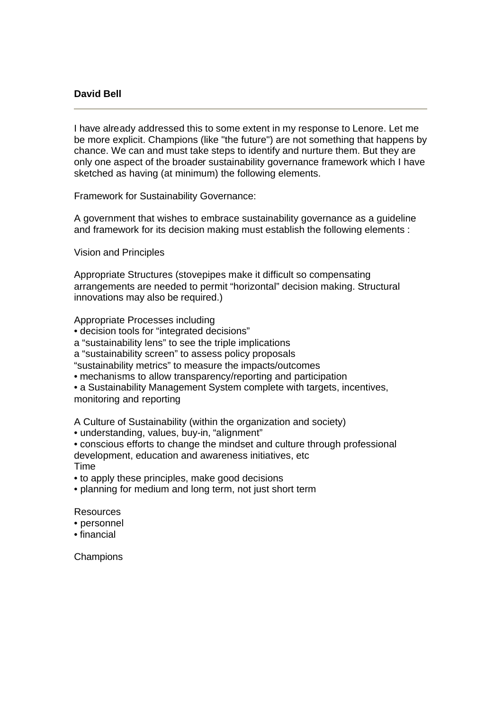## **David Bell**

I have already addressed this to some extent in my response to Lenore. Let me be more explicit. Champions (like "the future") are not something that happens by chance. We can and must take steps to identify and nurture them. But they are only one aspect of the broader sustainability governance framework which I have sketched as having (at minimum) the following elements.

Framework for Sustainability Governance:

A government that wishes to embrace sustainability governance as a guideline and framework for its decision making must establish the following elements :

Vision and Principles

Appropriate Structures (stovepipes make it difficult so compensating arrangements are needed to permit "horizontal" decision making. Structural innovations may also be required.)

Appropriate Processes including

• decision tools for "integrated decisions"

a "sustainability lens" to see the triple implications

a "sustainability screen" to assess policy proposals

"sustainability metrics" to measure the impacts/outcomes

• mechanisms to allow transparency/reporting and participation

• a Sustainability Management System complete with targets, incentives,

monitoring and reporting

A Culture of Sustainability (within the organization and society)

• understanding, values, buy-in, "alignment"

• conscious efforts to change the mindset and culture through professional development, education and awareness initiatives, etc

Time

• to apply these principles, make good decisions

• planning for medium and long term, not just short term

Resources

• personnel

• financial

**Champions**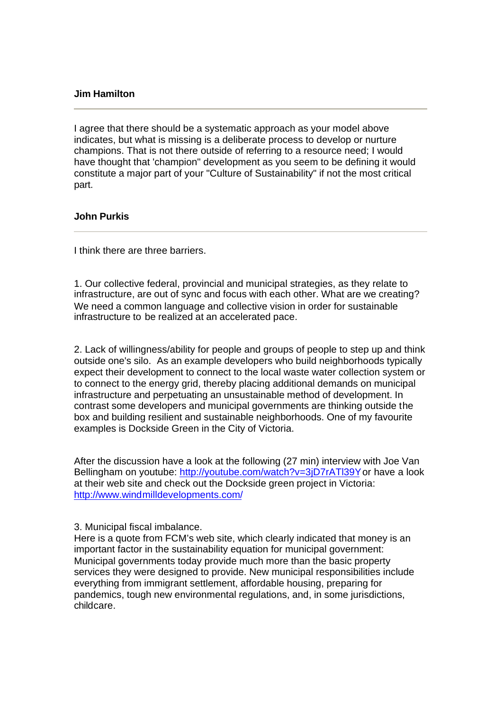### **Jim Hamilton**

I agree that there should be a systematic approach as your model above indicates, but what is missing is a deliberate process to develop or nurture champions. That is not there outside of referring to a resource need; I would have thought that 'champion" development as you seem to be defining it would constitute a major part of your "Culture of Sustainability" if not the most critical part.

## **John Purkis**

I think there are three barriers.

1. Our collective federal, provincial and municipal strategies, as they relate to infrastructure, are out of sync and focus with each other. What are we creating? We need a common language and collective vision in order for sustainable infrastructure to be realized at an accelerated pace.

2. Lack of willingness/ability for people and groups of people to step up and think outside one's silo. As an example developers who build neighborhoods typically expect their development to connect to the local waste water collection system or to connect to the energy grid, thereby placing additional demands on municipal infrastructure and perpetuating an unsustainable method of development. In contrast some developers and municipal governments are thinking outside the box and building resilient and sustainable neighborhoods. One of my favourite examples is Dockside Green in the City of Victoria.

After the discussion have a look at the following (27 min) interview with Joe Van Bellingham on youtube: http://youtube.com/watch?v=3jD7rATl39Y or have a look at their web site and check out the Dockside green project in Victoria: http://www.windmilldevelopments.com/

3. Municipal fiscal imbalance.

Here is a quote from FCM's web site, which clearly indicated that money is an important factor in the sustainability equation for municipal government: Municipal governments today provide much more than the basic property services they were designed to provide. New municipal responsibilities include everything from immigrant settlement, affordable housing, preparing for pandemics, tough new environmental regulations, and, in some jurisdictions, childcare.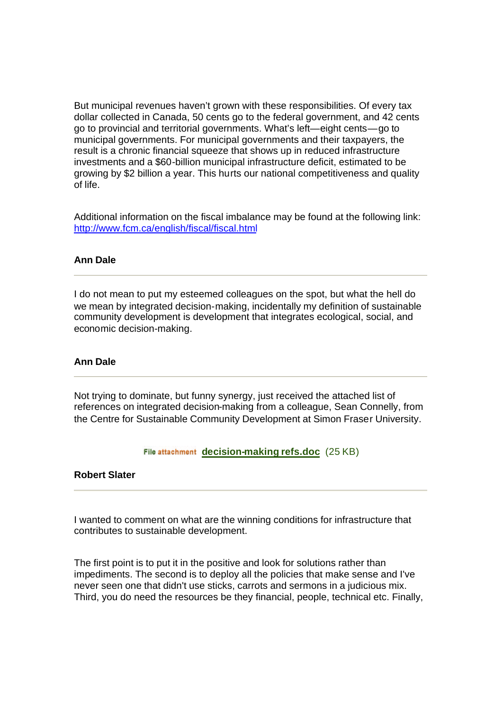But municipal revenues haven't grown with these responsibilities. Of every tax dollar collected in Canada, 50 cents go to the federal government, and 42 cents go to provincial and territorial governments. What's left—eight cents—go to municipal governments. For municipal governments and their taxpayers, the result is a chronic financial squeeze that shows up in reduced infrastructure investments and a \$60-billion municipal infrastructure deficit, estimated to be growing by \$2 billion a year. This hurts our national competitiveness and quality of life.

Additional information on the fiscal imbalance may be found at the following link: http://www.fcm.ca/english/fiscal/fiscal.html

### **Ann Dale**

I do not mean to put my esteemed colleagues on the spot, but what the hell do we mean by integrated decision-making, incidentally my definition of sustainable community development is development that integrates ecological, social, and economic decision-making.

#### **Ann Dale**

Not trying to dominate, but funny synergy, just received the attached list of references on integrated decision-making from a colleague, Sean Connelly, from the Centre for Sustainable Community Development at Simon Fraser University.

File attachment decision-making refs.doc (25 KB)

## **Robert Slater**

I wanted to comment on what are the winning conditions for infrastructure that contributes to sustainable development.

The first point is to put it in the positive and look for solutions rather than impediments. The second is to deploy all the policies that make sense and I've never seen one that didn't use sticks, carrots and sermons in a judicious mix. Third, you do need the resources be they financial, people, technical etc. Finally,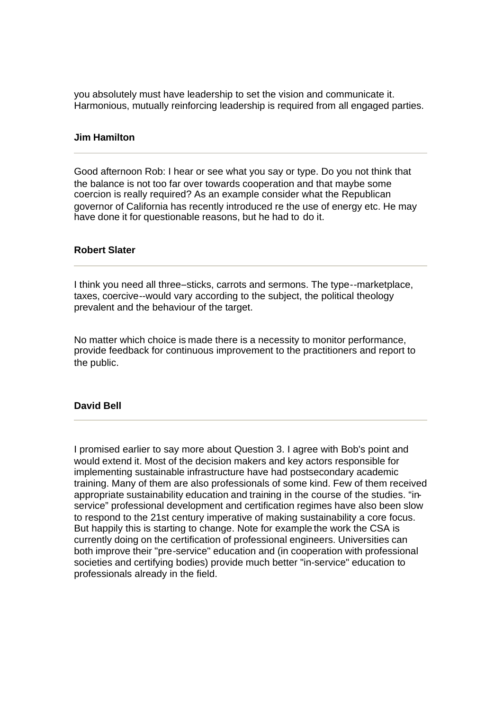you absolutely must have leadership to set the vision and communicate it. Harmonious, mutually reinforcing leadership is required from all engaged parties.

#### **Jim Hamilton**

Good afternoon Rob: I hear or see what you say or type. Do you not think that the balance is not too far over towards cooperation and that maybe some coercion is really required? As an example consider what the Republican governor of California has recently introduced re the use of energy etc. He may have done it for questionable reasons, but he had to do it.

# **Robert Slater**

I think you need all three--sticks, carrots and sermons. The type--marketplace, taxes, coercive--would vary according to the subject, the political theology prevalent and the behaviour of the target.

No matter which choice is made there is a necessity to monitor performance, provide feedback for continuous improvement to the practitioners and report to the public.

### **David Bell**

I promised earlier to say more about Question 3. I agree with Bob's point and would extend it. Most of the decision makers and key actors responsible for implementing sustainable infrastructure have had postsecondary academic training. Many of them are also professionals of some kind. Few of them received appropriate sustainability education and training in the course of the studies. "inservice" professional development and certification regimes have also been slow to respond to the 21st century imperative of making sustainability a core focus. But happily this is starting to change. Note for example the work the CSA is currently doing on the certification of professional engineers. Universities can both improve their "pre-service" education and (in cooperation with professional societies and certifying bodies) provide much better "in-service" education to professionals already in the field.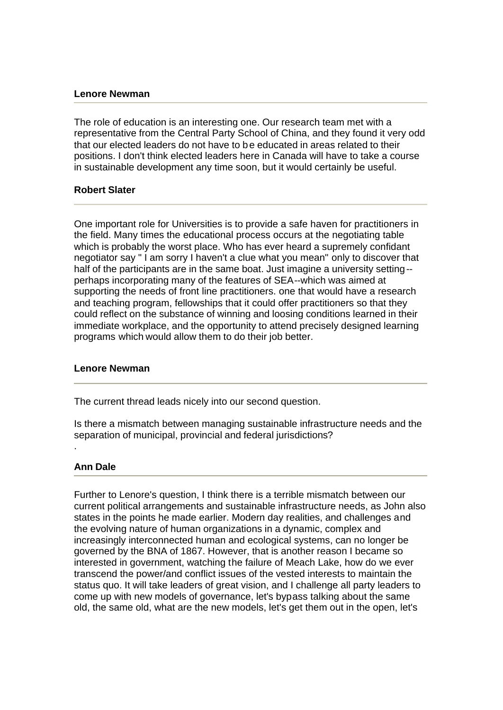#### **Lenore Newman**

The role of education is an interesting one. Our research team met with a representative from the Central Party School of China, and they found it very odd that our elected leaders do not have to be educated in areas related to their positions. I don't think elected leaders here in Canada will have to take a course in sustainable development any time soon, but it would certainly be useful.

## **Robert Slater**

One important role for Universities is to provide a safe haven for practitioners in the field. Many times the educational process occurs at the negotiating table which is probably the worst place. Who has ever heard a supremely confidant negotiator say " I am sorry I haven't a clue what you mean" only to discover that half of the participants are in the same boat. Just imagine a university setting- perhaps incorporating many of the features of SEA--which was aimed at supporting the needs of front line practitioners. one that would have a research and teaching program, fellowships that it could offer practitioners so that they could reflect on the substance of winning and loosing conditions learned in their immediate workplace, and the opportunity to attend precisely designed learning programs which would allow them to do their job better.

## **Lenore Newman**

The current thread leads nicely into our second question.

Is there a mismatch between managing sustainable infrastructure needs and the separation of municipal, provincial and federal jurisdictions?

## **Ann Dale**

.

Further to Lenore's question, I think there is a terrible mismatch between our current political arrangements and sustainable infrastructure needs, as John also states in the points he made earlier. Modern day realities, and challenges and the evolving nature of human organizations in a dynamic, complex and increasingly interconnected human and ecological systems, can no longer be governed by the BNA of 1867. However, that is another reason I became so interested in government, watching the failure of Meach Lake, how do we ever transcend the power/and conflict issues of the vested interests to maintain the status quo. It will take leaders of great vision, and I challenge all party leaders to come up with new models of governance, let's bypass talking about the same old, the same old, what are the new models, let's get them out in the open, let's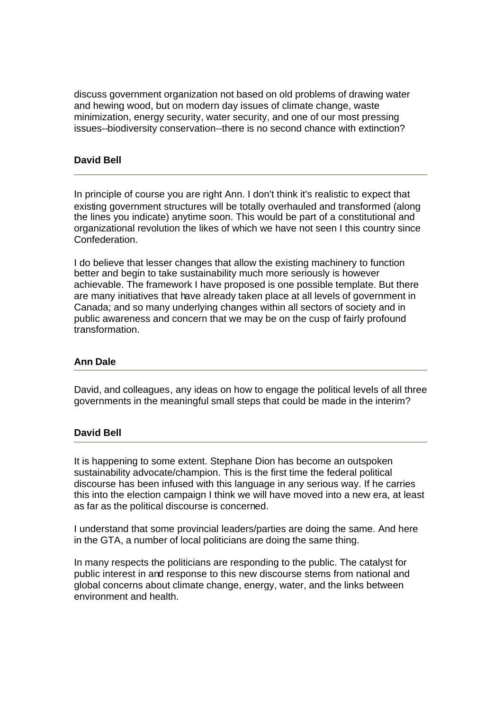discuss government organization not based on old problems of drawing water and hewing wood, but on modern day issues of climate change, waste minimization, energy security, water security, and one of our most pressing issues--biodiversity conservation--there is no second chance with extinction?

# **David Bell**

In principle of course you are right Ann. I don't think it's realistic to expect that existing government structures will be totally overhauled and transformed (along the lines you indicate) anytime soon. This would be part of a constitutional and organizational revolution the likes of which we have not seen I this country since Confederation.

I do believe that lesser changes that allow the existing machinery to function better and begin to take sustainability much more seriously is however achievable. The framework I have proposed is one possible template. But there are many initiatives that have already taken place at all levels of government in Canada; and so many underlying changes within all sectors of society and in public awareness and concern that we may be on the cusp of fairly profound transformation.

## **Ann Dale**

David, and colleagues, any ideas on how to engage the political levels of all three governments in the meaningful small steps that could be made in the interim?

## **David Bell**

It is happening to some extent. Stephane Dion has become an outspoken sustainability advocate/champion. This is the first time the federal political discourse has been infused with this language in any serious way. If he carries this into the election campaign I think we will have moved into a new era, at least as far as the political discourse is concerned.

I understand that some provincial leaders/parties are doing the same. And here in the GTA, a number of local politicians are doing the same thing.

In many respects the politicians are responding to the public. The catalyst for public interest in and response to this new discourse stems from national and global concerns about climate change, energy, water, and the links between environment and health.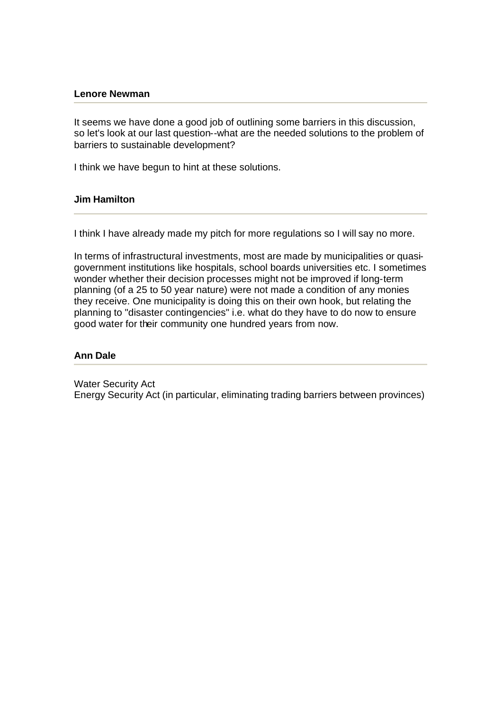#### **Lenore Newman**

It seems we have done a good job of outlining some barriers in this discussion, so let's look at our last question--what are the needed solutions to the problem of barriers to sustainable development?

I think we have begun to hint at these solutions.

### **Jim Hamilton**

I think I have already made my pitch for more regulations so I will say no more.

In terms of infrastructural investments, most are made by municipalities or quasigovernment institutions like hospitals, school boards universities etc. I sometimes wonder whether their decision processes might not be improved if long-term planning (of a 25 to 50 year nature) were not made a condition of any monies they receive. One municipality is doing this on their own hook, but relating the planning to "disaster contingencies" i.e. what do they have to do now to ensure good water for their community one hundred years from now.

### **Ann Dale**

Water Security Act Energy Security Act (in particular, eliminating trading barriers between provinces)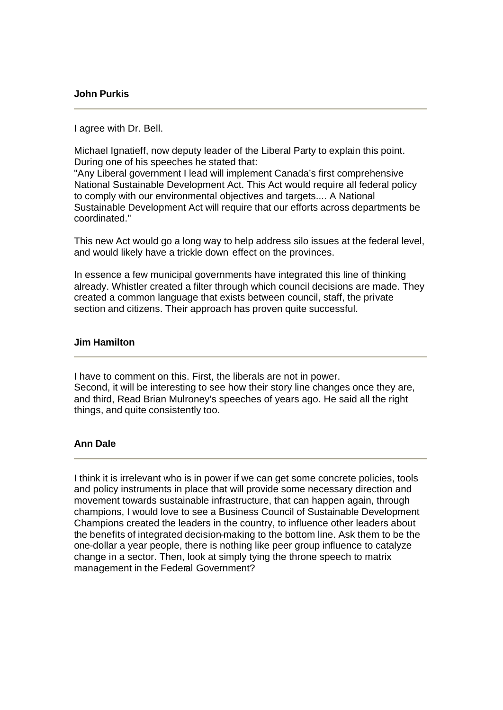### **John Purkis**

### I agree with Dr. Bell.

Michael Ignatieff, now deputy leader of the Liberal Party to explain this point. During one of his speeches he stated that:

"Any Liberal government I lead will implement Canada's first comprehensive National Sustainable Development Act. This Act would require all federal policy to comply with our environmental objectives and targets.... A National Sustainable Development Act will require that our efforts across departments be coordinated."

This new Act would go a long way to help address silo issues at the federal level, and would likely have a trickle down effect on the provinces.

In essence a few municipal governments have integrated this line of thinking already. Whistler created a filter through which council decisions are made. They created a common language that exists between council, staff, the private section and citizens. Their approach has proven quite successful.

### **Jim Hamilton**

I have to comment on this. First, the liberals are not in power. Second, it will be interesting to see how their story line changes once they are, and third, Read Brian Mulroney's speeches of years ago. He said all the right things, and quite consistently too.

## **Ann Dale**

I think it is irrelevant who is in power if we can get some concrete policies, tools and policy instruments in place that will provide some necessary direction and movement towards sustainable infrastructure, that can happen again, through champions, I would love to see a Business Council of Sustainable Development Champions created the leaders in the country, to influence other leaders about the benefits of integrated decision-making to the bottom line. Ask them to be the one-dollar a year people, there is nothing like peer group influence to catalyze change in a sector. Then, look at simply tying the throne speech to matrix management in the Federal Government?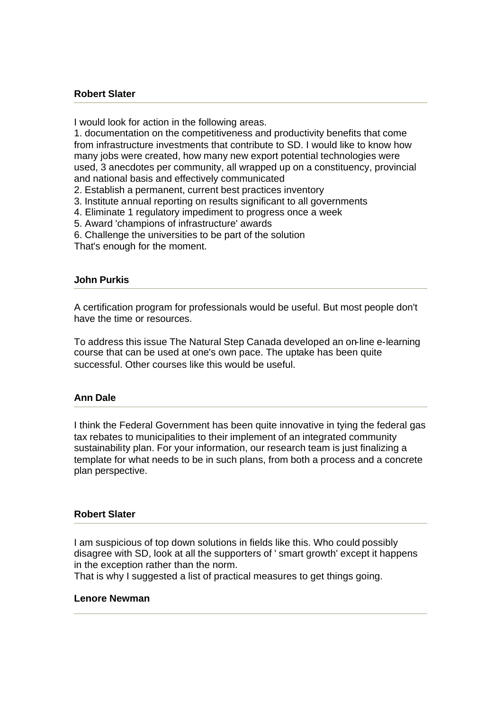### **Robert Slater**

I would look for action in the following areas.

1. documentation on the competitiveness and productivity benefits that come from infrastructure investments that contribute to SD. I would like to know how many jobs were created, how many new export potential technologies were used, 3 anecdotes per community, all wrapped up on a constituency, provincial and national basis and effectively communicated

2. Establish a permanent, current best practices inventory

- 3. Institute annual reporting on results significant to all governments
- 4. Eliminate 1 regulatory impediment to progress once a week
- 5. Award 'champions of infrastructure' awards
- 6. Challenge the universities to be part of the solution
- That's enough for the moment.

### **John Purkis**

A certification program for professionals would be useful. But most people don't have the time or resources.

To address this issue The Natural Step Canada developed an on-line e-learning course that can be used at one's own pace. The uptake has been quite successful. Other courses like this would be useful.

#### **Ann Dale**

I think the Federal Government has been quite innovative in tying the federal gas tax rebates to municipalities to their implement of an integrated community sustainability plan. For your information, our research team is just finalizing a template for what needs to be in such plans, from both a process and a concrete plan perspective.

#### **Robert Slater**

I am suspicious of top down solutions in fields like this. Who could possibly disagree with SD, look at all the supporters of ' smart growth' except it happens in the exception rather than the norm.

That is why I suggested a list of practical measures to get things going.

#### **Lenore Newman**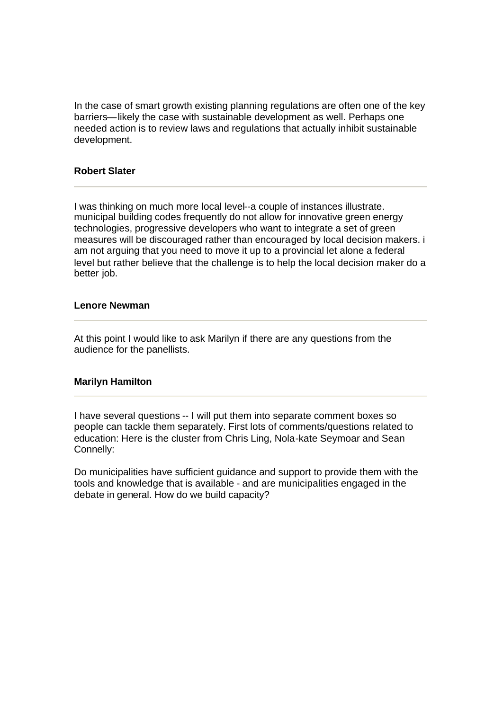In the case of smart growth existing planning regulations are often one of the key barriers—likely the case with sustainable development as well. Perhaps one needed action is to review laws and regulations that actually inhibit sustainable development.

## **Robert Slater**

I was thinking on much more local level--a couple of instances illustrate. municipal building codes frequently do not allow for innovative green energy technologies, progressive developers who want to integrate a set of green measures will be discouraged rather than encouraged by local decision makers. i am not arguing that you need to move it up to a provincial let alone a federal level but rather believe that the challenge is to help the local decision maker do a better job.

#### **Lenore Newman**

At this point I would like to ask Marilyn if there are any questions from the audience for the panellists.

## **Marilyn Hamilton**

I have several questions -- I will put them into separate comment boxes so people can tackle them separately. First lots of comments/questions related to education: Here is the cluster from Chris Ling, Nola-kate Seymoar and Sean Connelly:

Do municipalities have sufficient guidance and support to provide them with the tools and knowledge that is available - and are municipalities engaged in the debate in general. How do we build capacity?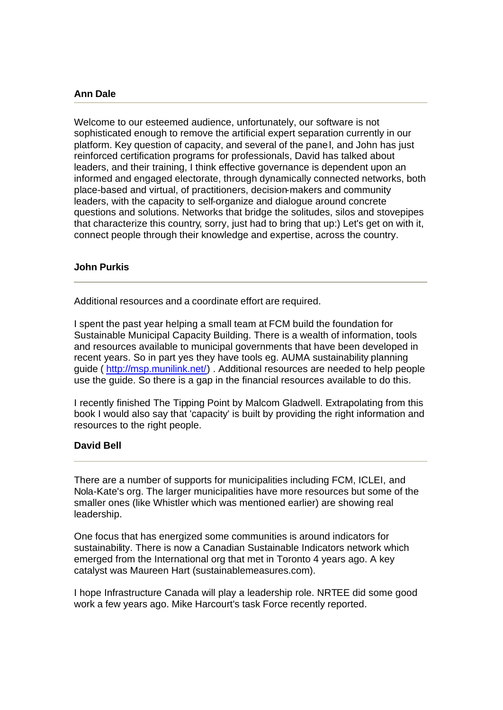## **Ann Dale**

Welcome to our esteemed audience, unfortunately, our software is not sophisticated enough to remove the artificial expert separation currently in our platform. Key question of capacity, and several of the panel, and John has just reinforced certification programs for professionals, David has talked about leaders, and their training, I think effective governance is dependent upon an informed and engaged electorate, through dynamically connected networks, both place-based and virtual, of practitioners, decision-makers and community leaders, with the capacity to self-organize and dialogue around concrete questions and solutions. Networks that bridge the solitudes, silos and stovepipes that characterize this country, sorry, just had to bring that up:) Let's get on with it, connect people through their knowledge and expertise, across the country.

### **John Purkis**

Additional resources and a coordinate effort are required.

I spent the past year helping a small team at FCM build the foundation for Sustainable Municipal Capacity Building. There is a wealth of information, tools and resources available to municipal governments that have been developed in recent years. So in part yes they have tools eg. AUMA sustainability planning guide ( http://msp.munilink.net/) . Additional resources are needed to help people use the guide. So there is a gap in the financial resources available to do this.

I recently finished The Tipping Point by Malcom Gladwell. Extrapolating from this book I would also say that 'capacity' is built by providing the right information and resources to the right people.

## **David Bell**

There are a number of supports for municipalities including FCM, ICLEI, and Nola-Kate's org. The larger municipalities have more resources but some of the smaller ones (like Whistler which was mentioned earlier) are showing real leadership.

One focus that has energized some communities is around indicators for sustainability. There is now a Canadian Sustainable Indicators network which emerged from the International org that met in Toronto 4 years ago. A key catalyst was Maureen Hart (sustainablemeasures.com).

I hope Infrastructure Canada will play a leadership role. NRTEE did some good work a few years ago. Mike Harcourt's task Force recently reported.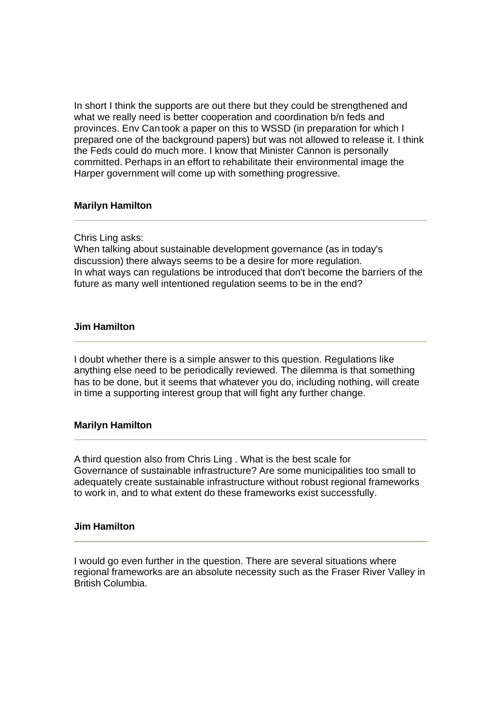In short I think the supports are out there but they could be strengthened and what we really need is better cooperation and coordination b/n feds and provinces. Env Can took a paper on this to WSSD (in preparation for which I prepared one of the background papers) but was not allowed to release it. I think the Feds could do much more. I know that Minister Cannon is personally committed. Perhaps in an effort to rehabilitate their environmental image the Harper government will come up with something progressive.

## **Marilyn Hamilton**

Chris Ling asks:

When talking about sustainable development governance (as in today's discussion) there always seems to be a desire for more regulation. In what ways can regulations be introduced that don't become the barriers of the future as many well intentioned regulation seems to be in the end?

### **Jim Hamilton**

I doubt whether there is a simple answer to this question. Regulations like anything else need to be periodically reviewed. The dilemma is that something has to be done, but it seems that whatever you do, including nothing, will create in time a supporting interest group that will fight any further change.

## **Marilyn Hamilton**

A third question also from Chris Ling . What is the best scale for Governance of sustainable infrastructure? Are some municipalities too small to adequately create sustainable infrastructure without robust regional frameworks to work in, and to what extent do these frameworks exist successfully.

#### **Jim Hamilton**

I would go even further in the question. There are several situations where regional frameworks are an absolute necessity such as the Fraser River Valley in British Columbia.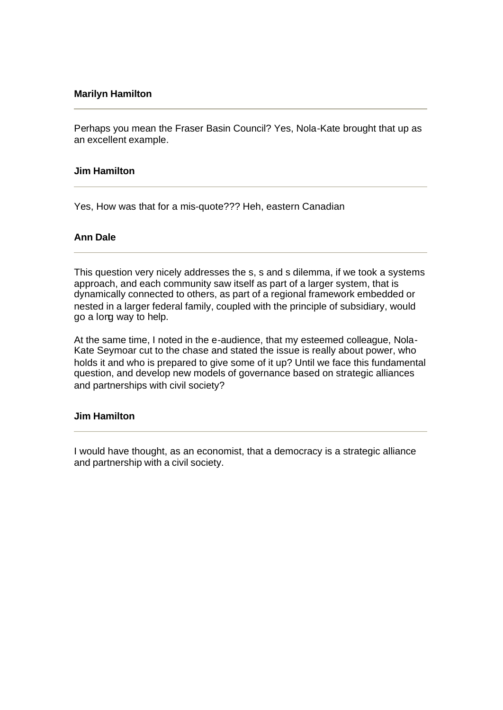## **Marilyn Hamilton**

Perhaps you mean the Fraser Basin Council? Yes, Nola-Kate brought that up as an excellent example.

### **Jim Hamilton**

Yes, How was that for a mis-quote??? Heh, eastern Canadian

## **Ann Dale**

This question very nicely addresses the s, s and s dilemma, if we took a systems approach, and each community saw itself as part of a larger system, that is dynamically connected to others, as part of a regional framework embedded or nested in a larger federal family, coupled with the principle of subsidiary, would go a long way to help.

At the same time, I noted in the e-audience, that my esteemed colleague, Nola-Kate Seymoar cut to the chase and stated the issue is really about power, who holds it and who is prepared to give some of it up? Until we face this fundamental question, and develop new models of governance based on strategic alliances and partnerships with civil society?

#### **Jim Hamilton**

I would have thought, as an economist, that a democracy is a strategic alliance and partnership with a civil society.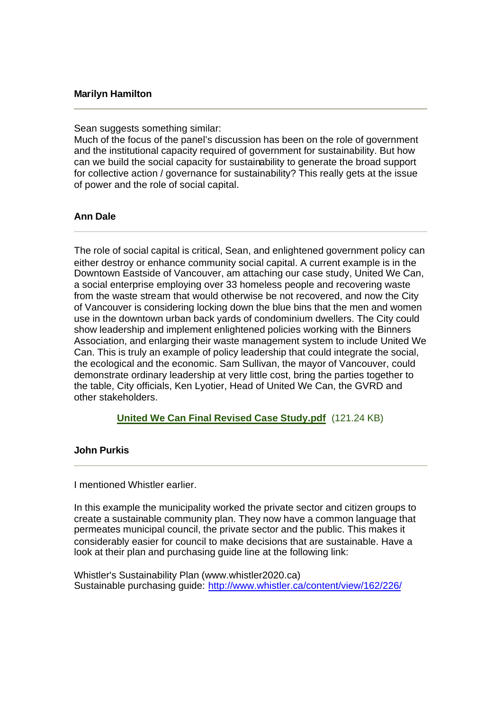## **Marilyn Hamilton**

Sean suggests something similar:

Much of the focus of the panel's discussion has been on the role of government and the institutional capacity required of government for sustainability. But how can we build the social capacity for sustainability to generate the broad support for collective action / governance for sustainability? This really gets at the issue of power and the role of social capital.

## **Ann Dale**

The role of social capital is critical, Sean, and enlightened government policy can either destroy or enhance community social capital. A current example is in the Downtown Eastside of Vancouver, am attaching our case study, United We Can, a social enterprise employing over 33 homeless people and recovering waste from the waste stream that would otherwise be not recovered, and now the City of Vancouver is considering locking down the blue bins that the men and women use in the downtown urban back yards of condominium dwellers. The City could show leadership and implement enlightened policies working with the Binners Association, and enlarging their waste management system to include United We Can. This is truly an example of policy leadership that could integrate the social, the ecological and the economic. Sam Sullivan, the mayor of Vancouver, could demonstrate ordinary leadership at very little cost, bring the parties together to the table, City officials, Ken Lyotier, Head of United We Can, the GVRD and other stakeholders.

**United We Can Final Revised Case Study.pdf** (121.24 KB)

#### **John Purkis**

I mentioned Whistler earlier.

In this example the municipality worked the private sector and citizen groups to create a sustainable community plan. They now have a common language that permeates municipal council, the private sector and the public. This makes it considerably easier for council to make decisions that are sustainable. Have a look at their plan and purchasing guide line at the following link:

Whistler's Sustainability Plan (www.whistler2020.ca) Sustainable purchasing guide: http://www.whistler.ca/content/view/162/226/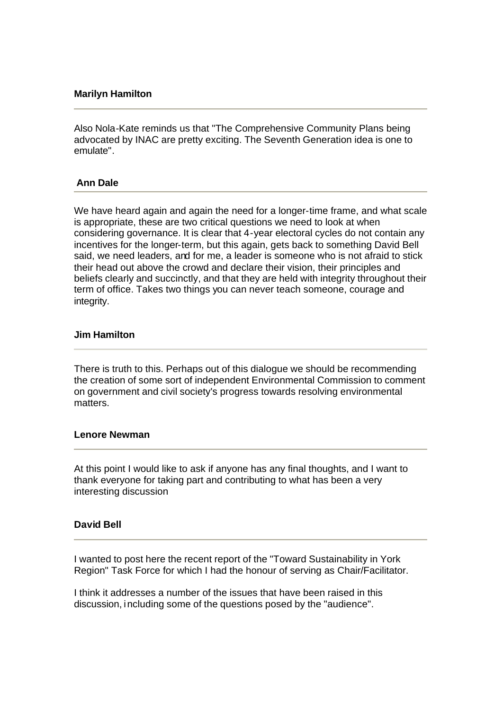## **Marilyn Hamilton**

Also Nola-Kate reminds us that "The Comprehensive Community Plans being advocated by INAC are pretty exciting. The Seventh Generation idea is one to emulate".

## **Ann Dale**

We have heard again and again the need for a longer-time frame, and what scale is appropriate, these are two critical questions we need to look at when considering governance. It is clear that 4-year electoral cycles do not contain any incentives for the longer-term, but this again, gets back to something David Bell said, we need leaders, and for me, a leader is someone who is not afraid to stick their head out above the crowd and declare their vision, their principles and beliefs clearly and succinctly, and that they are held with integrity throughout their term of office. Takes two things you can never teach someone, courage and integrity.

#### **Jim Hamilton**

There is truth to this. Perhaps out of this dialogue we should be recommending the creation of some sort of independent Environmental Commission to comment on government and civil society's progress towards resolving environmental matters.

#### **Lenore Newman**

At this point I would like to ask if anyone has any final thoughts, and I want to thank everyone for taking part and contributing to what has been a very interesting discussion

### **David Bell**

I wanted to post here the recent report of the "Toward Sustainability in York Region" Task Force for which I had the honour of serving as Chair/Facilitator.

I think it addresses a number of the issues that have been raised in this discussion, including some of the questions posed by the "audience".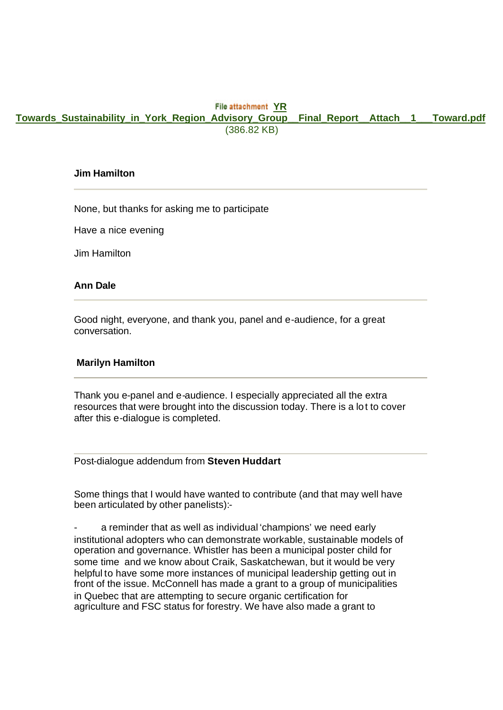### **File attachment YR**

**Towards\_Sustainability\_in\_York\_Region\_Advisory\_Group\_\_Final\_Report\_\_Attach\_\_1\_\_\_Toward.pdf** (386.82 KB)

#### **Jim Hamilton**

None, but thanks for asking me to participate

Have a nice evening

Jim Hamilton

#### **Ann Dale**

Good night, everyone, and thank you, panel and e-audience, for a great conversation.

#### **Marilyn Hamilton**

Thank you e-panel and e-audience. I especially appreciated all the extra resources that were brought into the discussion today. There is a lot to cover after this e-dialogue is completed.

Post-dialogue addendum from **Steven Huddart**

Some things that I would have wanted to contribute (and that may well have been articulated by other panelists):-

a reminder that as well as individual 'champions' we need early institutional adopters who can demonstrate workable, sustainable models of operation and governance. Whistler has been a municipal poster child for some time and we know about Craik, Saskatchewan, but it would be very helpful to have some more instances of municipal leadership getting out in front of the issue. McConnell has made a grant to a group of municipalities in Quebec that are attempting to secure organic certification for agriculture and FSC status for forestry. We have also made a grant to